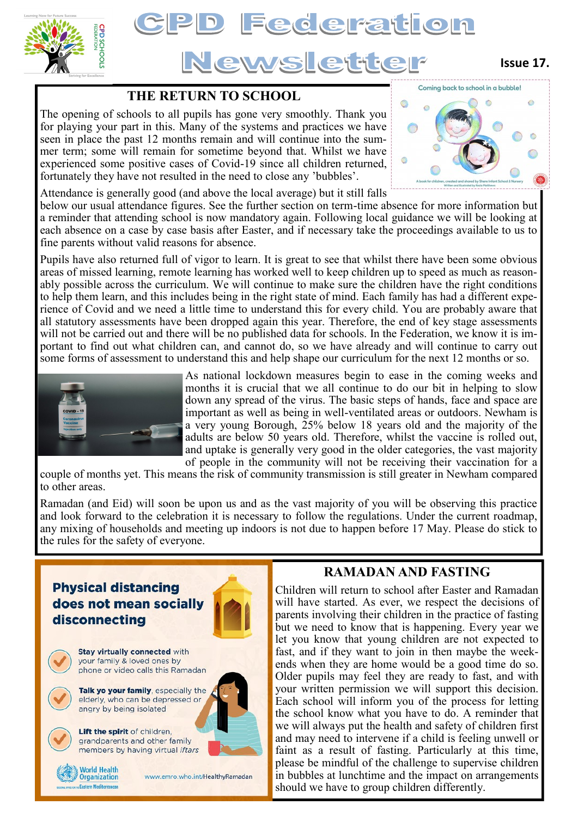

# **D Federation** Newsletter

## **Issue 17.**

## **THE RETURN TO SCHOOL**

The opening of schools to all pupils has gone very smoothly. Thank you for playing your part in this. Many of the systems and practices we have seen in place the past 12 months remain and will continue into the summer term; some will remain for sometime beyond that. Whilst we have experienced some positive cases of Covid-19 since all children returned, fortunately they have not resulted in the need to close any 'bubbles'.



Attendance is generally good (and above the local average) but it still falls

below our usual attendance figures. See the further section on term-time absence for more information but a reminder that attending school is now mandatory again. Following local guidance we will be looking at each absence on a case by case basis after Easter, and if necessary take the proceedings available to us to fine parents without valid reasons for absence.

Pupils have also returned full of vigor to learn. It is great to see that whilst there have been some obvious areas of missed learning, remote learning has worked well to keep children up to speed as much as reasonably possible across the curriculum. We will continue to make sure the children have the right conditions to help them learn, and this includes being in the right state of mind. Each family has had a different experience of Covid and we need a little time to understand this for every child. You are probably aware that all statutory assessments have been dropped again this year. Therefore, the end of key stage assessments will not be carried out and there will be no published data for schools. In the Federation, we know it is important to find out what children can, and cannot do, so we have already and will continue to carry out some forms of assessment to understand this and help shape our curriculum for the next 12 months or so.



As national lockdown measures begin to ease in the coming weeks and months it is crucial that we all continue to do our bit in helping to slow down any spread of the virus. The basic steps of hands, face and space are important as well as being in well-ventilated areas or outdoors. Newham is a very young Borough, 25% below 18 years old and the majority of the adults are below 50 years old. Therefore, whilst the vaccine is rolled out, and uptake is generally very good in the older categories, the vast majority of people in the community will not be receiving their vaccination for a

couple of months yet. This means the risk of community transmission is still greater in Newham compared to other areas.

Ramadan (and Eid) will soon be upon us and as the vast majority of you will be observing this practice and look forward to the celebration it is necessary to follow the regulations. Under the current roadmap, any mixing of households and meeting up indoors is not due to happen before 17 May. Please do stick to the rules for the safety of everyone.



## **RAMADAN AND FASTING**

Children will return to school after Easter and Ramadan will have started. As ever, we respect the decisions of parents involving their children in the practice of fasting but we need to know that is happening. Every year we let you know that young children are not expected to fast, and if they want to join in then maybe the weekends when they are home would be a good time do so. Older pupils may feel they are ready to fast, and with your written permission we will support this decision. Each school will inform you of the process for letting the school know what you have to do. A reminder that we will always put the health and safety of children first and may need to intervene if a child is feeling unwell or faint as a result of fasting. Particularly at this time, please be mindful of the challenge to supervise children in bubbles at lunchtime and the impact on arrangements should we have to group children differently.